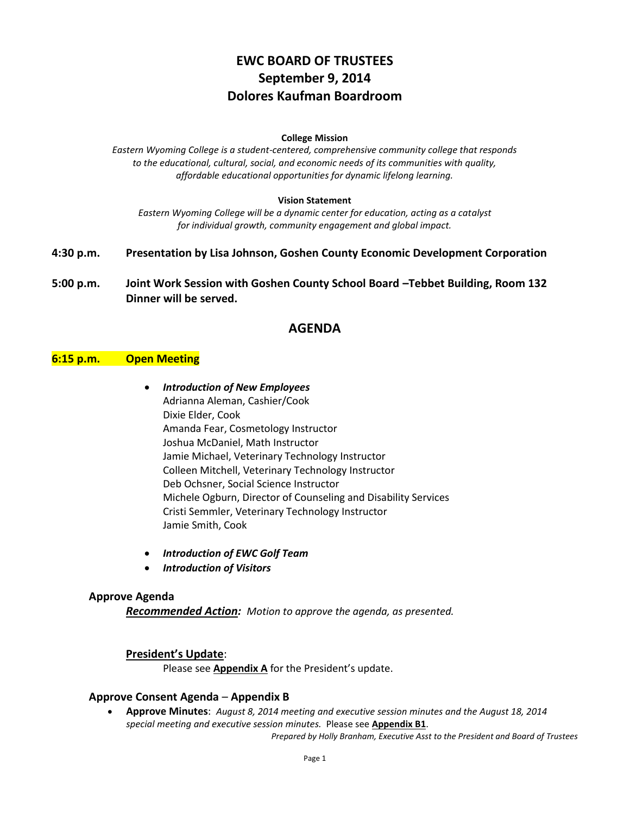# **EWC BOARD OF TRUSTEES September 9, 2014 Dolores Kaufman Boardroom**

#### **College Mission**

*Eastern Wyoming College is a student-centered, comprehensive community college that responds to the educational, cultural, social, and economic needs of its communities with quality, affordable educational opportunities for dynamic lifelong learning.*

#### **Vision Statement**

*Eastern Wyoming College will be a dynamic center for education, acting as a catalyst for individual growth, community engagement and global impact.*

- **4:30 p.m. Presentation by Lisa Johnson, Goshen County Economic Development Corporation**
- **5:00 p.m. Joint Work Session with Goshen County School Board –Tebbet Building, Room 132 Dinner will be served.**

## **AGENDA**

#### **6:15 p.m. Open Meeting**

- *Introduction of New Employees* Adrianna Aleman, Cashier/Cook Dixie Elder, Cook Amanda Fear, Cosmetology Instructor Joshua McDaniel, Math Instructor Jamie Michael, Veterinary Technology Instructor Colleen Mitchell, Veterinary Technology Instructor Deb Ochsner, Social Science Instructor Michele Ogburn, Director of Counseling and Disability Services Cristi Semmler, Veterinary Technology Instructor Jamie Smith, Cook
- *Introduction of EWC Golf Team*
- *Introduction of Visitors*

#### **Approve Agenda**

*Recommended Action: Motion to approve the agenda, as presented.*

#### **President's Update**:

Please see **Appendix A** for the President's update.

#### **Approve Consent Agenda** – **Appendix B**

 **Approve Minutes**: *August 8, 2014 meeting and executive session minutes and the August 18, 2014 special meeting and executive session minutes.* Please see **Appendix B1**.

*Prepared by Holly Branham, Executive Asst to the President and Board of Trustees*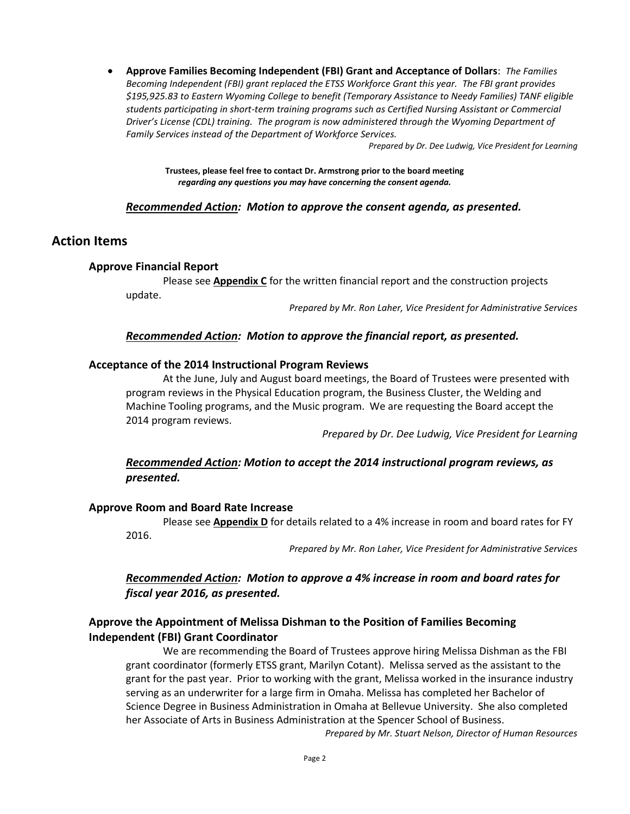**Approve Families Becoming Independent (FBI) Grant and Acceptance of Dollars**: *The Families Becoming Independent (FBI) grant replaced the ETSS Workforce Grant this year. The FBI grant provides \$195,925.83 to Eastern Wyoming College to benefit (Temporary Assistance to Needy Families) TANF eligible students participating in short-term training programs such as Certified Nursing Assistant or Commercial Driver's License (CDL) training. The program is now administered through the Wyoming Department of Family Services instead of the Department of Workforce Services.* 

*Prepared by Dr. Dee Ludwig, Vice President for Learning*

**Trustees, please feel free to contact Dr. Armstrong prior to the board meeting** *regarding any questions you may have concerning the consent agenda.*

### *Recommended Action: Motion to approve the consent agenda, as presented.*

### **Action Items**

### **Approve Financial Report**

Please see **Appendix C** for the written financial report and the construction projects update.

*Prepared by Mr. Ron Laher, Vice President for Administrative Services*

### *Recommended Action: Motion to approve the financial report, as presented.*

#### **Acceptance of the 2014 Instructional Program Reviews**

At the June, July and August board meetings, the Board of Trustees were presented with program reviews in the Physical Education program, the Business Cluster, the Welding and Machine Tooling programs, and the Music program. We are requesting the Board accept the 2014 program reviews.

*Prepared by Dr. Dee Ludwig, Vice President for Learning*

### *Recommended Action: Motion to accept the 2014 instructional program reviews, as presented.*

#### **Approve Room and Board Rate Increase**

Please see **Appendix D** for details related to a 4% increase in room and board rates for FY 2016.

*Prepared by Mr. Ron Laher, Vice President for Administrative Services*

### *Recommended Action: Motion to approve a 4% increase in room and board rates for fiscal year 2016, as presented.*

### **Approve the Appointment of Melissa Dishman to the Position of Families Becoming Independent (FBI) Grant Coordinator**

We are recommending the Board of Trustees approve hiring Melissa Dishman as the FBI grant coordinator (formerly ETSS grant, Marilyn Cotant). Melissa served as the assistant to the grant for the past year. Prior to working with the grant, Melissa worked in the insurance industry serving as an underwriter for a large firm in Omaha. Melissa has completed her Bachelor of Science Degree in Business Administration in Omaha at Bellevue University. She also completed her Associate of Arts in Business Administration at the Spencer School of Business.

*Prepared by Mr. Stuart Nelson, Director of Human Resources*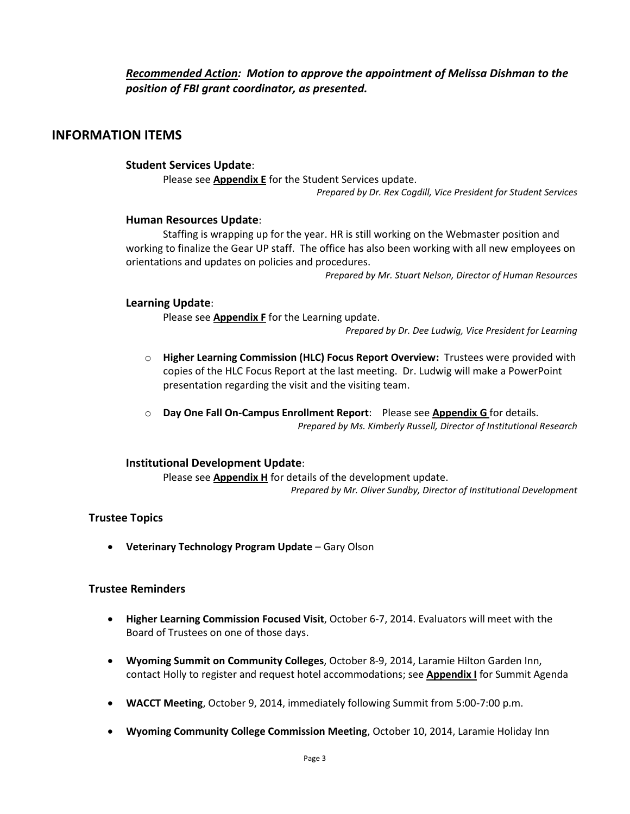## *Recommended Action: Motion to approve the appointment of Melissa Dishman to the position of FBI grant coordinator, as presented.*

# **INFORMATION ITEMS**

### **Student Services Update**:

Please see **Appendix E** for the Student Services update. *Prepared by Dr. Rex Cogdill, Vice President for Student Services*

#### **Human Resources Update**:

Staffing is wrapping up for the year. HR is still working on the Webmaster position and working to finalize the Gear UP staff. The office has also been working with all new employees on orientations and updates on policies and procedures.

*Prepared by Mr. Stuart Nelson, Director of Human Resources*

#### **Learning Update**:

Please see **Appendix F** for the Learning update.

*Prepared by Dr. Dee Ludwig, Vice President for Learning*

- o **Higher Learning Commission (HLC) Focus Report Overview:** Trustees were provided with copies of the HLC Focus Report at the last meeting. Dr. Ludwig will make a PowerPoint presentation regarding the visit and the visiting team.
- o **Day One Fall On-Campus Enrollment Report**: Please see **Appendix G** for details. *Prepared by Ms. Kimberly Russell, Director of Institutional Research*

#### **Institutional Development Update**:

Please see **Appendix H** for details of the development update. *Prepared by Mr. Oliver Sundby, Director of Institutional Development*

#### **Trustee Topics**

**Veterinary Technology Program Update** – Gary Olson

#### **Trustee Reminders**

- **Higher Learning Commission Focused Visit**, October 6-7, 2014. Evaluators will meet with the Board of Trustees on one of those days.
- **Wyoming Summit on Community Colleges**, October 8-9, 2014, Laramie Hilton Garden Inn, contact Holly to register and request hotel accommodations; see **Appendix I** for Summit Agenda
- **WACCT Meeting**, October 9, 2014, immediately following Summit from 5:00-7:00 p.m.
- **Wyoming Community College Commission Meeting**, October 10, 2014, Laramie Holiday Inn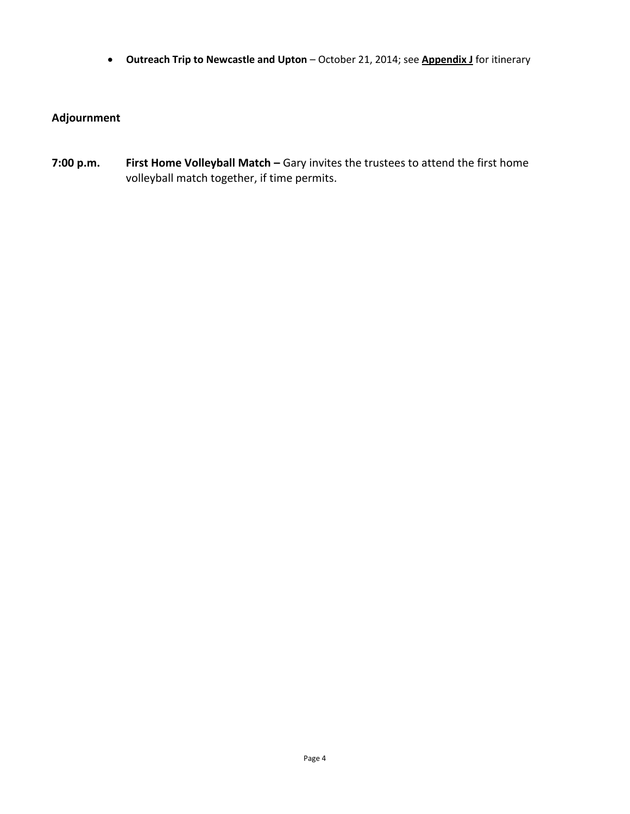**Outreach Trip to Newcastle and Upton** – October 21, 2014; see **Appendix J** for itinerary

# **Adjournment**

**7:00 p.m. First Home Volleyball Match –** Gary invites the trustees to attend the first home volleyball match together, if time permits.